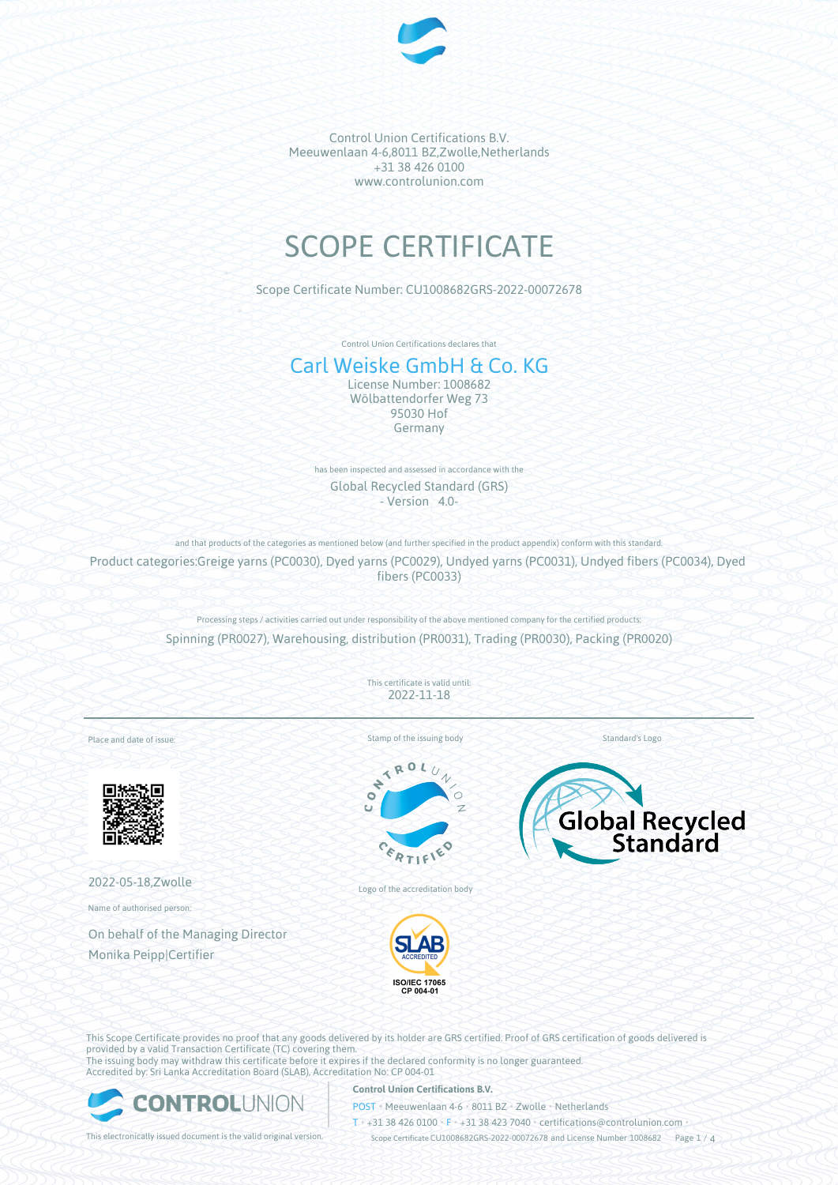

# SCOPE CERTIFICATE

Scope Certificate Number: CU1008682GRS-2022-00072678

Control Union Certifications declares that

# Carl Weiske GmbH & Co. KG

License Number: 1008682 Wölbattendorfer Weg 73 95030 Hof Germany

has been inspected and assessed in accordance with the Global Recycled Standard (GRS) - Version 4.0-

and that products of the categories as mentioned below (and further specified in the product appendix) conform with this standard.

Product categories:Greige yarns (PC0030), Dyed yarns (PC0029), Undyed yarns (PC0031), Undyed fibers (PC0034), Dyed fibers (PC0033)

> Processing steps / activities carried out under responsibility of the above mentioned company for the certified products: Spinning (PR0027), Warehousing, distribution (PR0031), Trading (PR0030), Packing (PR0020)

> > This certificate is valid until: 2022-11-18

Stamp of the issuing body

 $\mathcal{L}_{\mathbf{0}}$ 

Standard's Logo



Place and date of issue:



2022-05-18,Zwolle

Name of authorised person:

On behalf of the Managing Director Monika Peipp|Certifier

Logo of the accreditation body



This Scope Certificate provides no proof that any goods delivered by its holder are GRS certified. Proof of GRS certification of goods delivered is provided by a valid Transaction Certificate (TC) covering them. The issuing body may withdraw this certificate before it expires if the declared conformity is no longer guaranteed. Accredited by: Sri Lanka Accreditation Board (SLAB), Accreditation No: CP 004-01



#### **Control Union Certifications B.V.**

POST • Meeuwenlaan 4-6 • 8011 BZ • Zwolle • Netherlands

T • +31 38 426 0100 • F • +31 38 423 7040 • certifications@controlunion.com •

This electronically issued document is the valid original version. Scope Certificate CU1008682GRS-2022-00072678 and License Number 1008682 Page 1 / 4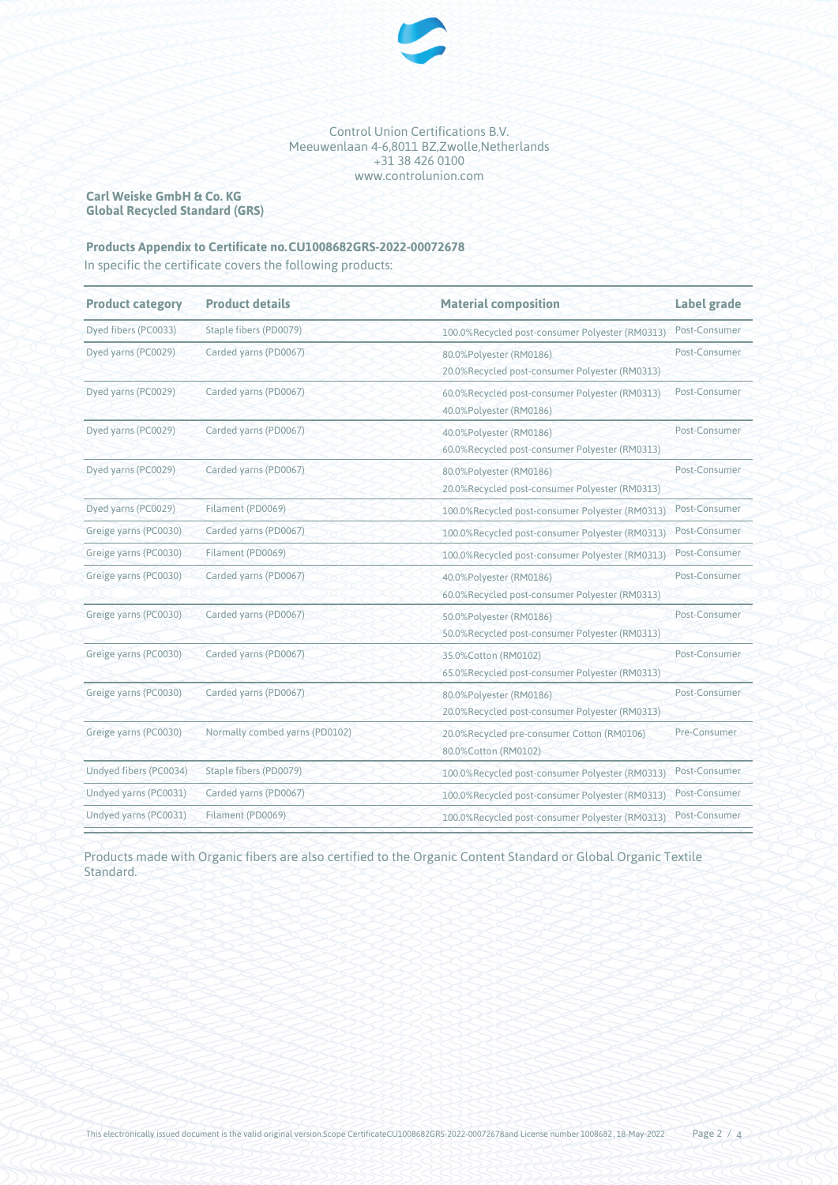

## **Carl Weiske GmbH & Co. KG Global Recycled Standard (GRS)**

# **Products Appendix to Certificate no.CU1008682GRS-2022-00072678**

In specific the certificate covers the following products:

| <b>Product category</b> | <b>Product details</b>         | <b>Material composition</b>                                               | Label grade   |
|-------------------------|--------------------------------|---------------------------------------------------------------------------|---------------|
| Dyed fibers (PC0033)    | Staple fibers (PD0079)         | 100.0%Recycled post-consumer Polyester (RM0313)                           | Post-Consumer |
| Dyed yarns (PC0029)     | Carded yarns (PD0067)          | 80.0%Polyester (RM0186)<br>20.0%Recycled post-consumer Polyester (RM0313) | Post-Consumer |
| Dyed yarns (PC0029)     | Carded yarns (PD0067)          | 60.0%Recycled post-consumer Polyester (RM0313)<br>40.0%Polyester (RM0186) | Post-Consumer |
| Dyed yarns (PC0029)     | Carded yarns (PD0067)          | 40.0%Polyester (RM0186)<br>60.0%Recycled post-consumer Polyester (RM0313) | Post-Consumer |
| Dyed yarns (PC0029)     | Carded yarns (PD0067)          | 80.0%Polyester (RM0186)<br>20.0%Recycled post-consumer Polyester (RM0313) | Post-Consumer |
| Dyed yarns (PC0029)     | Filament (PD0069)              | 100.0%Recycled post-consumer Polyester (RM0313)                           | Post-Consumer |
| Greige yarns (PC0030)   | Carded yarns (PD0067)          | 100.0%Recycled post-consumer Polyester (RM0313)                           | Post-Consumer |
| Greige yarns (PC0030)   | Filament (PD0069)              | 100.0%Recycled post-consumer Polyester (RM0313)                           | Post-Consumer |
| Greige yarns (PC0030)   | Carded yarns (PD0067)          | 40.0%Polyester (RM0186)<br>60.0%Recycled post-consumer Polyester (RM0313) | Post-Consumer |
| Greige yarns (PC0030)   | Carded yarns (PD0067)          | 50.0%Polyester (RM0186)<br>50.0%Recycled post-consumer Polyester (RM0313) | Post-Consumer |
| Greige yarns (PC0030)   | Carded yarns (PD0067)          | 35.0%Cotton (RM0102)<br>65.0%Recycled post-consumer Polyester (RM0313)    | Post-Consumer |
| Greige yarns (PC0030)   | Carded yarns (PD0067)          | 80.0%Polyester (RM0186)<br>20.0%Recycled post-consumer Polyester (RM0313) | Post-Consumer |
| Greige yarns (PC0030)   | Normally combed yarns (PD0102) | 20.0%Recycled pre-consumer Cotton (RM0106)<br>80.0%Cotton (RM0102)        | Pre-Consumer  |
| Undyed fibers (PC0034)  | Staple fibers (PD0079)         | 100.0%Recycled post-consumer Polyester (RM0313)                           | Post-Consumer |
| Undyed yarns (PC0031)   | Carded yarns (PD0067)          | 100.0%Recycled post-consumer Polyester (RM0313)                           | Post-Consumer |
| Undyed yarns (PC0031)   | Filament (PD0069)              | 100.0%Recycled post-consumer Polyester (RM0313)                           | Post-Consumer |

Products made with Organic fibers are also certified to the Organic Content Standard or Global Organic Textile Standard.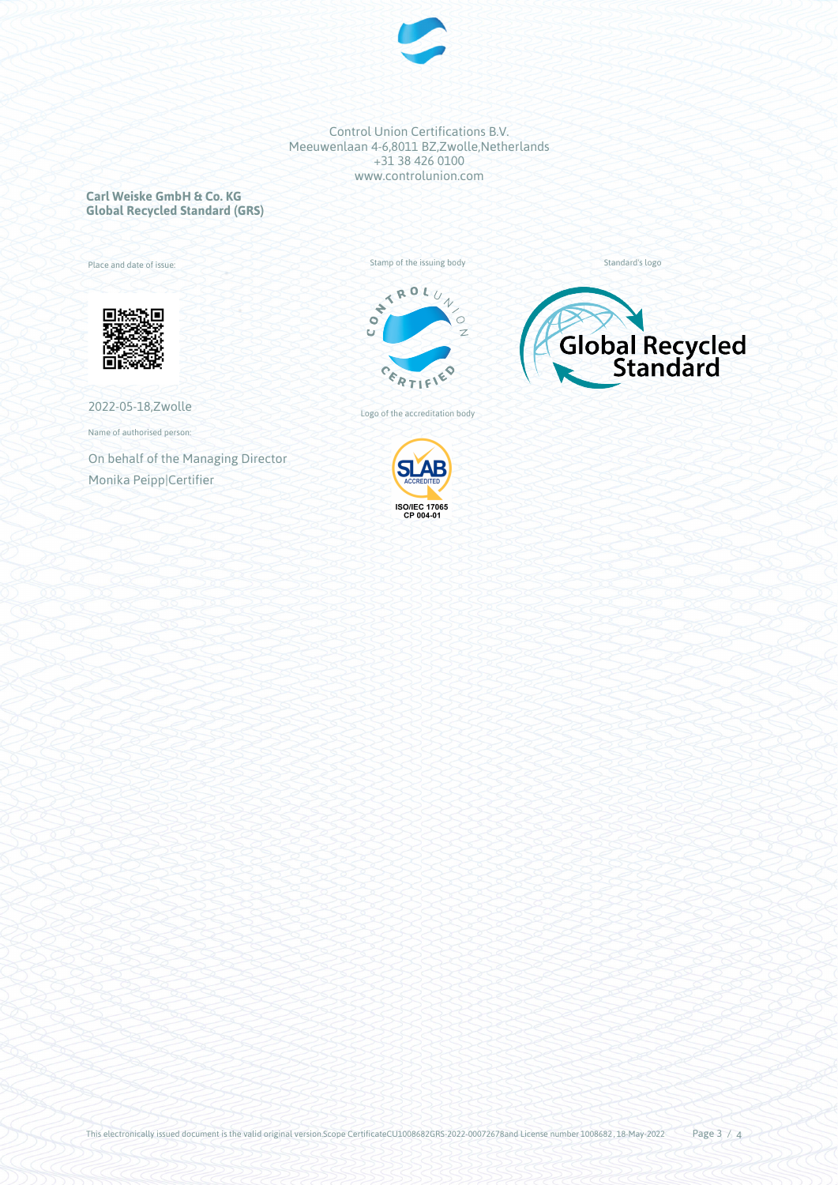

**Carl Weiske GmbH & Co. KG Global Recycled Standard (GRS)**

Place and date of issue:



2022-05-18,Zwolle

Name of authorised person:

On behalf of the Managing Director Monika Peipp|Certifier





Standard's logo

Logo of the accreditation body